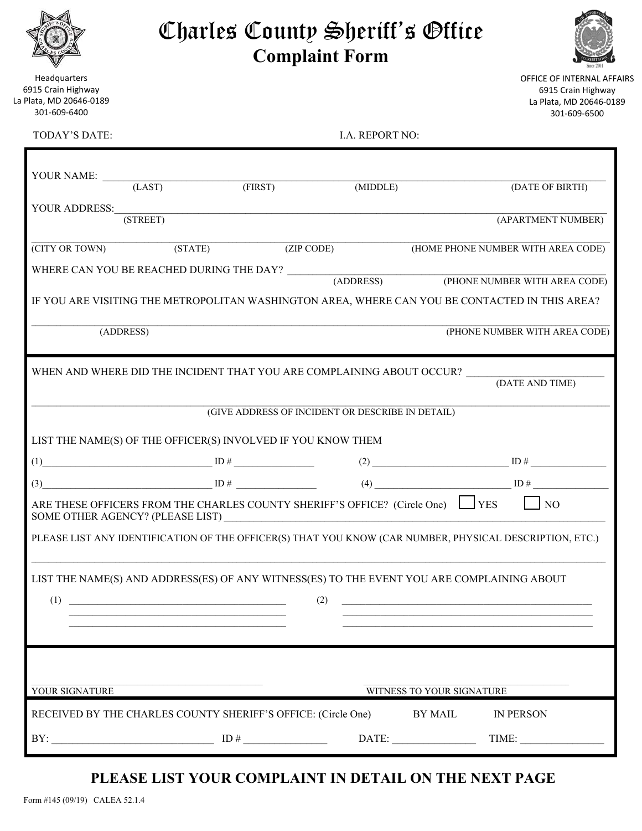|                       |  | Charles County Sheriff's Office |  |  |
|-----------------------|--|---------------------------------|--|--|
| <b>Complaint Form</b> |  |                                 |  |  |



Headquarters 6915 Crain Highway La Plata, MD 20646‐0189 301‐609‐6400

OFFICE OF INTERNAL AFFAIRS 6915 Crain Highway La Plata, MD 20646‐0189 301‐609‐6500

| TODAY'S DATE:                                                                              |                                                                                                                                     |                                                                       | <b>I.A. REPORT NO:</b> |                           |                                                                                                         |
|--------------------------------------------------------------------------------------------|-------------------------------------------------------------------------------------------------------------------------------------|-----------------------------------------------------------------------|------------------------|---------------------------|---------------------------------------------------------------------------------------------------------|
| YOUR NAME:                                                                                 |                                                                                                                                     |                                                                       |                        |                           |                                                                                                         |
|                                                                                            | (LAST)                                                                                                                              | $(\overline{\text{FIRST}})$                                           | (MIDDLE)               |                           | (DATE OF BIRTH)                                                                                         |
| YOUR ADDRESS:                                                                              |                                                                                                                                     |                                                                       |                        |                           |                                                                                                         |
|                                                                                            | (STREET)                                                                                                                            |                                                                       |                        |                           | (APARTMENT NUMBER)                                                                                      |
| (CITY OR TOWN)                                                                             | (TATE)                                                                                                                              |                                                                       | (ZIP CODE)             |                           | (HOME PHONE NUMBER WITH AREA CODE)                                                                      |
|                                                                                            |                                                                                                                                     | WHERE CAN YOU BE REACHED DURING THE DAY?                              |                        |                           |                                                                                                         |
|                                                                                            |                                                                                                                                     |                                                                       | (ADDRESS)              |                           | (PHONE NUMBER WITH AREA CODE)                                                                           |
|                                                                                            |                                                                                                                                     |                                                                       |                        |                           | IF YOU ARE VISITING THE METROPOLITAN WASHINGTON AREA, WHERE CAN YOU BE CONTACTED IN THIS AREA?          |
|                                                                                            | (ADDRESS)                                                                                                                           |                                                                       |                        |                           | (PHONE NUMBER WITH AREA CODE)                                                                           |
|                                                                                            |                                                                                                                                     |                                                                       |                        |                           |                                                                                                         |
|                                                                                            |                                                                                                                                     | WHEN AND WHERE DID THE INCIDENT THAT YOU ARE COMPLAINING ABOUT OCCUR? |                        |                           |                                                                                                         |
|                                                                                            |                                                                                                                                     |                                                                       |                        |                           | (DATE AND TIME)                                                                                         |
|                                                                                            |                                                                                                                                     | (GIVE ADDRESS OF INCIDENT OR DESCRIBE IN DETAIL)                      |                        |                           |                                                                                                         |
|                                                                                            |                                                                                                                                     |                                                                       |                        |                           |                                                                                                         |
|                                                                                            |                                                                                                                                     | LIST THE NAME(S) OF THE OFFICER(S) INVOLVED IF YOU KNOW THEM          |                        |                           |                                                                                                         |
|                                                                                            |                                                                                                                                     |                                                                       |                        |                           |                                                                                                         |
| (3)                                                                                        |                                                                                                                                     | $\Box$ ID # $\Box$ ID # $\Box$                                        |                        |                           |                                                                                                         |
|                                                                                            | ARE THESE OFFICERS FROM THE CHARLES COUNTY SHERIFF'S OFFICE? (Circle One) TES<br>$\overline{N}$<br>SOME OTHER AGENCY? (PLEASE LIST) |                                                                       |                        |                           |                                                                                                         |
|                                                                                            |                                                                                                                                     |                                                                       |                        |                           | PLEASE LIST ANY IDENTIFICATION OF THE OFFICER(S) THAT YOU KNOW (CAR NUMBER, PHYSICAL DESCRIPTION, ETC.) |
| LIST THE NAME(S) AND ADDRESS(ES) OF ANY WITNESS(ES) TO THE EVENT YOU ARE COMPLAINING ABOUT |                                                                                                                                     |                                                                       |                        |                           |                                                                                                         |
| (1)                                                                                        |                                                                                                                                     |                                                                       | (2)                    |                           |                                                                                                         |
|                                                                                            |                                                                                                                                     |                                                                       |                        |                           |                                                                                                         |
|                                                                                            |                                                                                                                                     |                                                                       |                        |                           |                                                                                                         |
|                                                                                            |                                                                                                                                     |                                                                       |                        |                           |                                                                                                         |
|                                                                                            |                                                                                                                                     |                                                                       |                        |                           |                                                                                                         |
| YOUR SIGNATURE                                                                             |                                                                                                                                     |                                                                       |                        | WITNESS TO YOUR SIGNATURE |                                                                                                         |
|                                                                                            |                                                                                                                                     | RECEIVED BY THE CHARLES COUNTY SHERIFF'S OFFICE: (Circle One)         |                        | <b>BY MAIL</b>            | <b>IN PERSON</b>                                                                                        |

 $BY:$   $\Box$   $ID \#$   $\Box$   $DATE:$   $\Box$   $TIME:$ 

# **PLEASE LIST YOUR COMPLAINT IN DETAIL ON THE NEXT PAGE**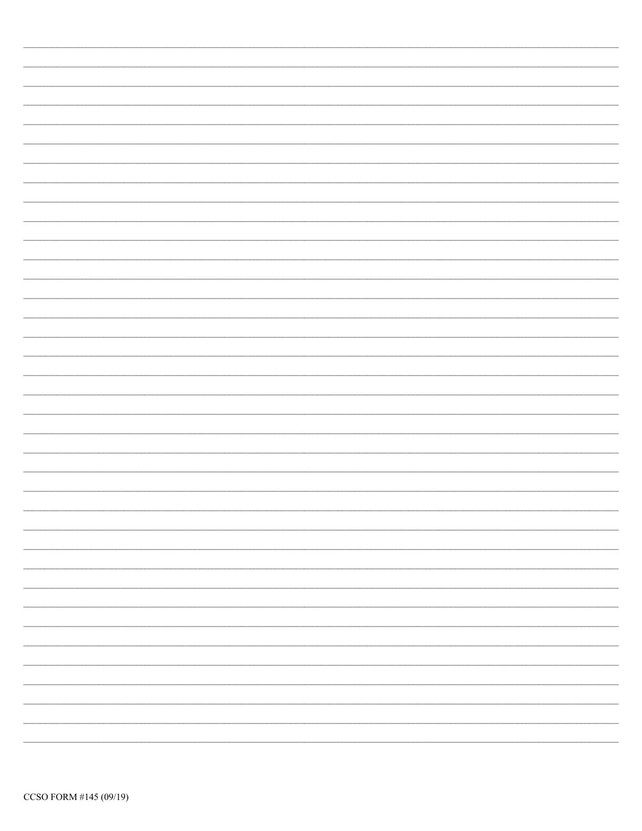| -                        |
|--------------------------|
|                          |
|                          |
| $\overline{\phantom{a}}$ |
|                          |
|                          |
| $\overline{\phantom{a}}$ |
|                          |
|                          |
| -                        |
|                          |
|                          |
|                          |
|                          |
| $\overline{\phantom{a}}$ |
|                          |
|                          |
|                          |
|                          |
|                          |